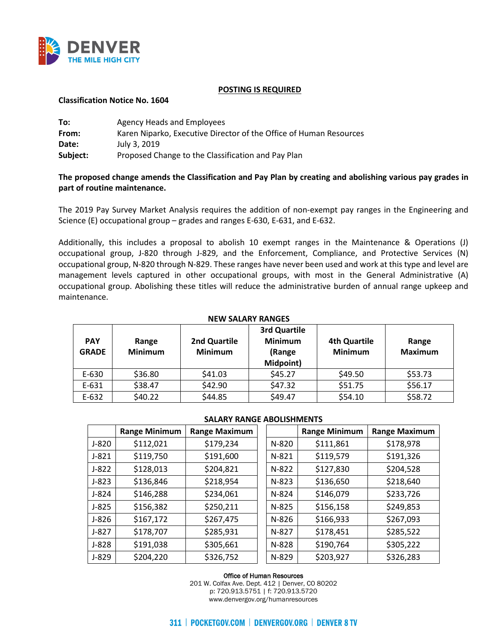

## **POSTING IS REQUIRED**

## **Classification Notice No. 1604**

| To:      | Agency Heads and Employees                                         |
|----------|--------------------------------------------------------------------|
| From:    | Karen Niparko, Executive Director of the Office of Human Resources |
| Date:    | July 3, 2019                                                       |
| Subject: | Proposed Change to the Classification and Pay Plan                 |

# **The proposed change amends the Classification and Pay Plan by creating and abolishing various pay grades in part of routine maintenance.**

The 2019 Pay Survey Market Analysis requires the addition of non-exempt pay ranges in the Engineering and Science (E) occupational group – grades and ranges E-630, E-631, and E-632.

Additionally, this includes a proposal to abolish 10 exempt ranges in the Maintenance & Operations (J) occupational group, J-820 through J-829, and the Enforcement, Compliance, and Protective Services (N) occupational group, N-820 through N-829. These ranges have never been used and work at this type and level are management levels captured in other occupational groups, with most in the General Administrative (A) occupational group. Abolishing these titles will reduce the administrative burden of annual range upkeep and maintenance.

| <b>PAY</b><br><b>GRADE</b> | Range<br><b>Minimum</b> | 2nd Quartile<br><b>Minimum</b> | 3rd Quartile<br><b>Minimum</b><br>(Range<br>Midpoint) | <b>4th Quartile</b><br><b>Minimum</b> | Range<br><b>Maximum</b> |
|----------------------------|-------------------------|--------------------------------|-------------------------------------------------------|---------------------------------------|-------------------------|
| E-630                      | \$36.80                 | \$41.03                        | \$45.27                                               | \$49.50                               | \$53.73                 |
| E-631                      | \$38.47                 | \$42.90                        | \$47.32                                               | \$51.75                               | \$56.17                 |
| $E-632$                    | \$40.22                 | \$44.85                        | \$49.47                                               | \$54.10                               | \$58.72                 |

## **NEW SALARY RANGES**

### **SALARY RANGE ABOLISHMENTS**

|         | <b>Range Minimum</b> | <b>Range Maximum</b> |         | <b>Range Minimum</b> | <b>Range Maximum</b> |
|---------|----------------------|----------------------|---------|----------------------|----------------------|
| $J-820$ | \$112,021            | \$179,234            | $N-820$ | \$111,861            | \$178,978            |
| $J-821$ | \$119,750            | \$191,600            | N-821   | \$119,579            | \$191,326            |
| $J-822$ | \$128,013            | \$204,821            | N-822   | \$127,830            | \$204,528            |
| $J-823$ | \$136,846            | \$218,954            | $N-823$ | \$136,650            | \$218,640            |
| $J-824$ | \$146,288            | \$234,061            | N-824   | \$146,079            | \$233,726            |
| $J-825$ | \$156,382            | \$250,211            | $N-825$ | \$156,158            | \$249,853            |
| $J-826$ | \$167,172            | \$267,475            | N-826   | \$166,933            | \$267,093            |
| $J-827$ | \$178,707            | \$285,931            | N-827   | \$178,451            | \$285,522            |
| $J-828$ | \$191,038            | \$305,661            | N-828   | \$190,764            | \$305,222            |
| J-829   | \$204,220            | \$326,752            | $N-829$ | \$203,927            | \$326,283            |

#### Office of Human Resources

201 W. Colfax Ave. Dept. 412 | Denver, CO 80202 p: 720.913.5751 | f: 720.913.5720 www.denvergov.org/humanresources